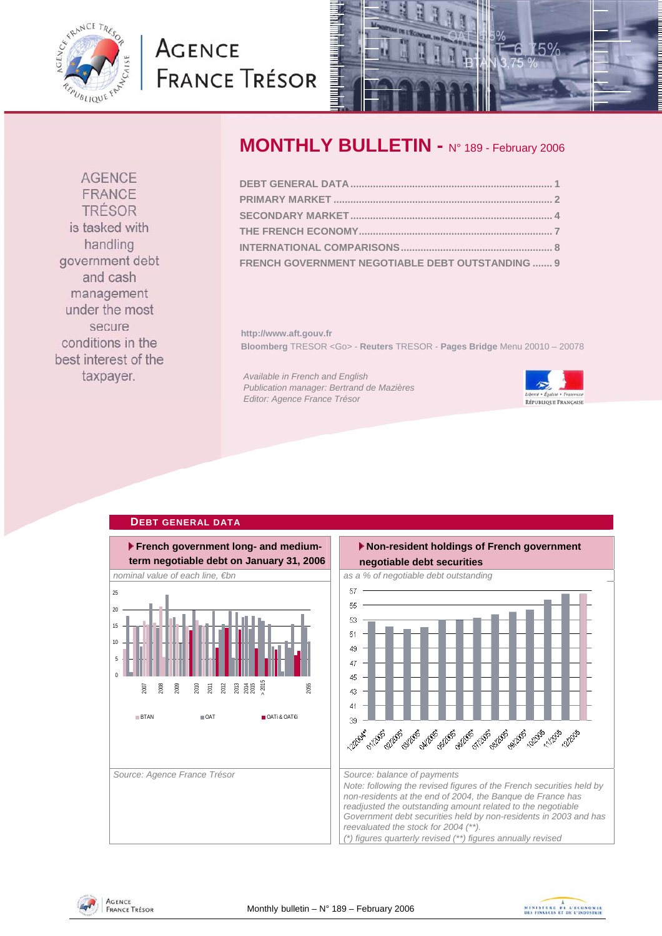<span id="page-0-0"></span>

# **AGENCE FRANCE TRÉSOR**



# **MONTHLY BULLETIN -** N° 189 - February 2006

| FRENCH GOVERNMENT NEGOTIABLE DEBT OUTSTANDING  9 |  |
|--------------------------------------------------|--|

**http://www.aft.gouv.fr Bloomberg** TRESOR <Go> - **Reuters** TRESOR - **Pages Bridge** Menu 20010 – 20078

*Available in French and English Publication manager: Bertrand de Mazières Editor: Agence France Trésor* 



### **DEBT GENERAL DATA**









FRANCE TRÉSOR is tasked with handling government debt and cash management under the most secure conditions in the best interest of the taxpayer.

**AGENCE**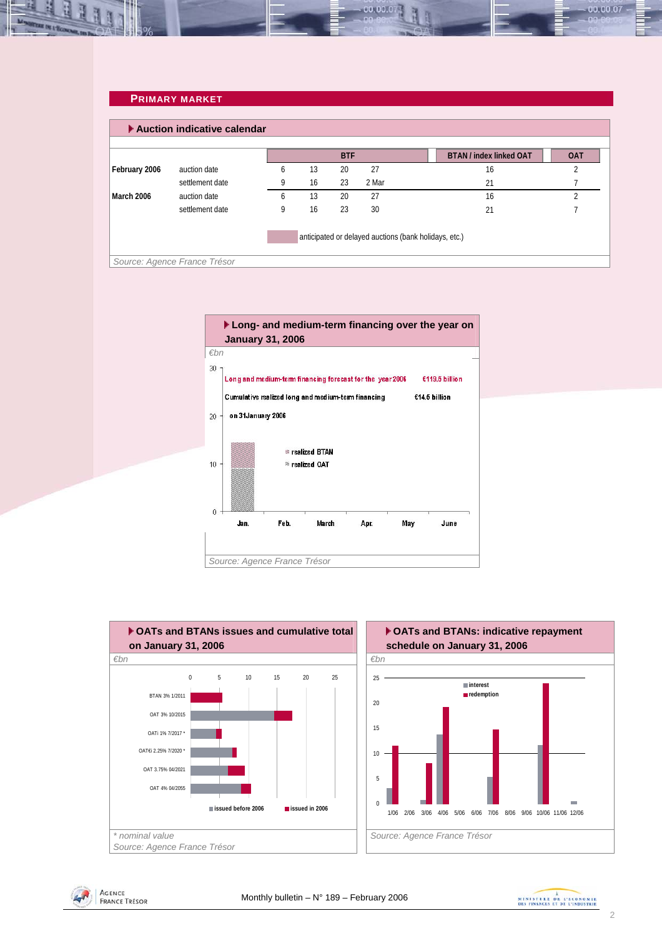#### <span id="page-1-0"></span>**PRIMARY MARKET**

|                                                       | Auction indicative calendar  |   |    |            |       |  |                                |            |  |
|-------------------------------------------------------|------------------------------|---|----|------------|-------|--|--------------------------------|------------|--|
|                                                       |                              |   |    | <b>BTF</b> |       |  | <b>BTAN / index linked OAT</b> | <b>OAT</b> |  |
| February 2006                                         | auction date                 | 6 | 13 | 20         | 27    |  | 16                             | L          |  |
|                                                       | settlement date              | 9 | 16 | 23         | 2 Mar |  | 21                             |            |  |
| March 2006                                            | auction date                 | 6 | 13 | 20         | 27    |  | 16                             |            |  |
|                                                       | settlement date              | 9 | 16 | 23         | 30    |  | 21                             |            |  |
| anticipated or delayed auctions (bank holidays, etc.) |                              |   |    |            |       |  |                                |            |  |
|                                                       | Source: Agence France Trésor |   |    |            |       |  |                                |            |  |







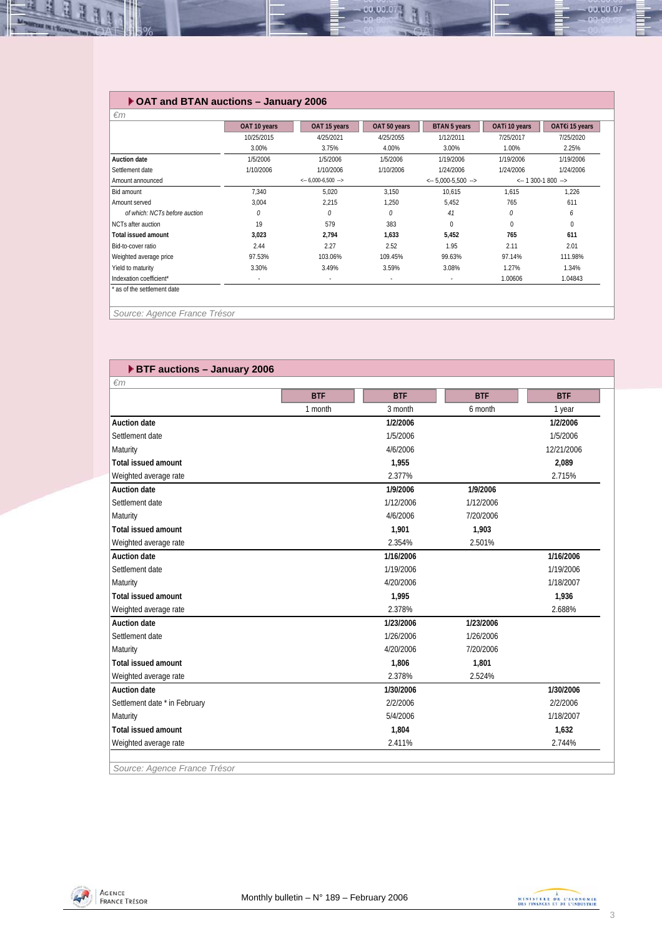### **OAT and BTAN auctions – January 2006**

|                               | OAT 10 years | OAT 15 years                           | OAT 50 years             | <b>BTAN 5 years</b>                    | OATi 10 years | OAT€i 15 years                         |
|-------------------------------|--------------|----------------------------------------|--------------------------|----------------------------------------|---------------|----------------------------------------|
|                               | 10/25/2015   | 4/25/2021                              | 4/25/2055                | 1/12/2011                              | 7/25/2017     | 7/25/2020                              |
|                               | 3.00%        | 3.75%                                  | 4.00%                    | 3.00%                                  | 1.00%         | 2.25%                                  |
| <b>Auction date</b>           | 1/5/2006     | 1/5/2006                               | 1/5/2006                 | 1/19/2006                              | 1/19/2006     | 1/19/2006                              |
| Settlement date               | 1/10/2006    | 1/10/2006                              | 1/10/2006                | 1/24/2006                              | 1/24/2006     | 1/24/2006                              |
| Amount announced              |              | $\leftarrow 6,000-6,500$ $\rightarrow$ |                          | $\leftarrow$ 5,000-5,500 $\rightarrow$ |               | $\leftarrow$ 1 300-1 800 $\rightarrow$ |
| Bid amount                    | 7,340        | 5,020                                  | 3,150                    | 10,615                                 | 1,615         | 1,226                                  |
| Amount served                 | 3,004        | 2,215                                  | 1,250                    | 5,452                                  | 765           | 611                                    |
| of which: NCTs before auction | 0            | 0                                      | 0                        | 41                                     | 0             | 6                                      |
| NCTs after auction            | 19           | 579                                    | 383                      | $\Omega$                               | $\mathbf 0$   | $\mathbf{0}$                           |
| <b>Total issued amount</b>    | 3,023        | 2,794                                  | 1,633                    | 5,452                                  | 765           | 611                                    |
| Bid-to-cover ratio            | 2.44         | 2.27                                   | 2.52                     | 1.95                                   | 2.11          | 2.01                                   |
| Weighted average price        | 97.53%       | 103.06%                                | 109.45%                  | 99.63%                                 | 97.14%        | 111.98%                                |
| Yield to maturity             | 3.30%        | 3.49%                                  | 3.59%                    | 3.08%                                  | 1.27%         | 1.34%                                  |
| Indexation coefficient*       | ٠            | ٠                                      | $\overline{\phantom{a}}$ | ٠                                      | 1.00606       | 1.04843                                |

00.00.0

*Source: Agence France Trésor* 

*<u>All Contractors</u>* 

لخل

| <b>ETF auctions - January 2006</b> |            |            |            |            |
|------------------------------------|------------|------------|------------|------------|
| $\epsilon$ m                       |            |            |            |            |
|                                    | <b>BTF</b> | <b>BTF</b> | <b>BTF</b> | <b>BTF</b> |
|                                    | 1 month    | 3 month    | 6 month    | 1 year     |
| <b>Auction date</b>                |            | 1/2/2006   |            | 1/2/2006   |
| Settlement date                    |            | 1/5/2006   |            | 1/5/2006   |
| Maturity                           |            | 4/6/2006   |            | 12/21/2006 |
| Total issued amount                |            | 1,955      |            | 2,089      |
| Weighted average rate              |            | 2.377%     |            | 2.715%     |
| <b>Auction date</b>                |            | 1/9/2006   | 1/9/2006   |            |
| Settlement date                    |            | 1/12/2006  | 1/12/2006  |            |
| Maturity                           |            | 4/6/2006   | 7/20/2006  |            |
| <b>Total issued amount</b>         |            | 1.901      | 1,903      |            |
| Weighted average rate              |            | 2.354%     | 2.501%     |            |
| <b>Auction date</b>                |            | 1/16/2006  |            | 1/16/2006  |
| Settlement date                    |            | 1/19/2006  |            | 1/19/2006  |
| Maturity                           |            | 4/20/2006  |            | 1/18/2007  |
| <b>Total issued amount</b>         |            | 1,995      |            | 1,936      |
| Weighted average rate              |            | 2.378%     |            | 2.688%     |
| <b>Auction date</b>                |            | 1/23/2006  | 1/23/2006  |            |
| Settlement date                    |            | 1/26/2006  | 1/26/2006  |            |
| Maturity                           |            | 4/20/2006  | 7/20/2006  |            |
| <b>Total issued amount</b>         |            | 1,806      | 1,801      |            |
| Weighted average rate              |            | 2.378%     | 2.524%     |            |
| <b>Auction date</b>                |            | 1/30/2006  |            | 1/30/2006  |
| Settlement date * in February      |            | 2/2/2006   |            | 2/2/2006   |
| Maturity                           |            | 5/4/2006   |            | 1/18/2007  |
| <b>Total issued amount</b>         |            | 1,804      |            | 1,632      |
| Weighted average rate              |            | 2.411%     |            | 2.744%     |

*Source: Agence France Trésor* 



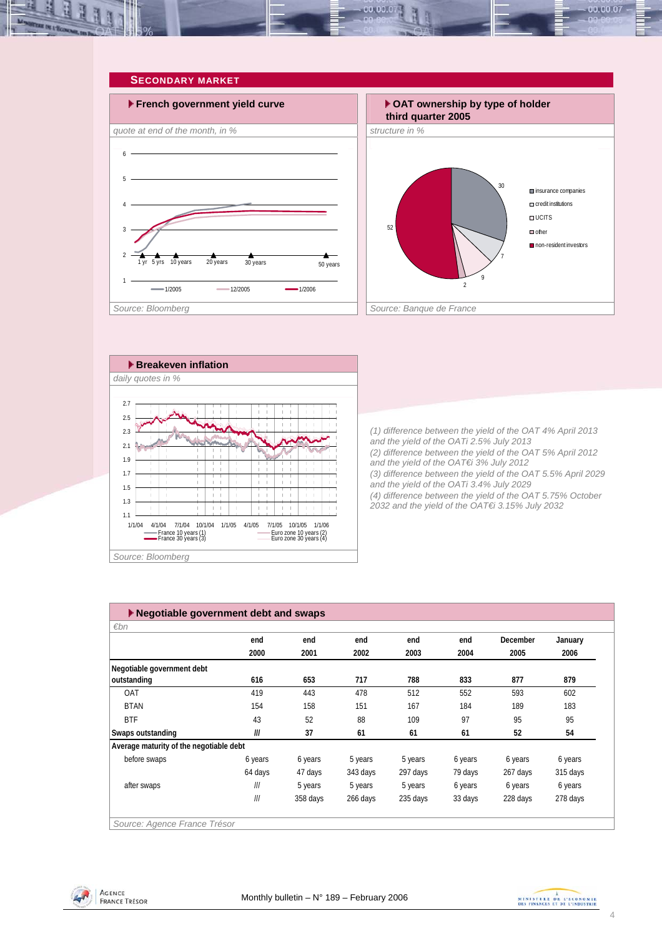<span id="page-3-0"></span>



ma.<br>Kabupatèn Sulawang Kabupatèn Sulawang Kabupatèn Sulawa Pada Sulawa Pada Sulawa Sulawa Sulawa Sulawa Sulawa<br>Kabupatèn Sulawa Sulawa Sulawa Sulawa Sulawa Sulawa Sulawa Sulawa Sulawa Sulawa Sulawa Sulawa Sulawa Sulawa S

ŤŤ Ť

 $\frac{1}{1}$ 

ΤŤ

i i

Ħ

îή

iί

i i

π÷

ÎΪ

 $\frac{1}{2}$  .  $\mathbb{I}$ 

Τ

 $\frac{1}{1}$ 

i i

-i ÷.

÷. ÷. **third quarter 2005** 30 7 9  $\overline{\mathfrak{z}}$ insurance companies credit institutions  $\Box$  UCITS  $\Box$  other non-resident investors

*(1) difference between the yield of the OAT 4% April 2013 and the yield of the OATi 2.5% July 2013 (2) difference between the yield of the OAT 5% April 2012 and the yield of the OAT€i 3% July 2012 (3) difference between the yield of the OAT 5.5% April 2029 and the yield of the OATi 3.4% July 2029 (4) difference between the yield of the OAT 5.75% October 2032 and the yield of the OAT€i 3.15% July 2032* 

| 1/1/04 | 4/1/04 |                                            | 7/1/04 10/1/04 | 1/1/05 | 4/1/05                                               | 7/1/05 10/1/05 | 1/1/06 |
|--------|--------|--------------------------------------------|----------------|--------|------------------------------------------------------|----------------|--------|
|        |        | France 10 years (1)<br>France 30 years (3) |                |        | - Euro zone 10 years (2)<br>- Euro zone 30 years (4) |                |        |

ïΪ ÷ ֒.

ïί

ïΪ

îή i i

j. ÷i

*Source: Bloomberg* 

 $\blacksquare$ 

ïί

ïί

iή

1.1 1.3 1.5 1.7 1.9 2.1

| $\blacktriangleright$ Negotiable government debt and swaps |         |          |          |          |         |          |          |  |  |
|------------------------------------------------------------|---------|----------|----------|----------|---------|----------|----------|--|--|
| $\varepsilon$ bn                                           |         |          |          |          |         |          |          |  |  |
|                                                            | end     | end      | end      | end      | end     | December | January  |  |  |
|                                                            | 2000    | 2001     | 2002     | 2003     | 2004    | 2005     | 2006     |  |  |
| Negotiable government debt                                 |         |          |          |          |         |          |          |  |  |
| outstanding                                                | 616     | 653      | 717      | 788      | 833     | 877      | 879      |  |  |
| <b>OAT</b>                                                 | 419     | 443      | 478      | 512      | 552     | 593      | 602      |  |  |
| <b>BTAN</b>                                                | 154     | 158      | 151      | 167      | 184     | 189      | 183      |  |  |
| <b>BTF</b>                                                 | 43      | 52       | 88       | 109      | 97      | 95       | 95       |  |  |
| Swaps outstanding                                          | III     | 37       | 61       | 61       | 61      | 52       | 54       |  |  |
| Average maturity of the negotiable debt                    |         |          |          |          |         |          |          |  |  |
| before swaps                                               | 6 years | 6 years  | 5 years  | 5 years  | 6 years | 6 years  | 6 years  |  |  |
|                                                            | 64 days | 47 days  | 343 days | 297 days | 79 days | 267 days | 315 days |  |  |
| after swaps                                                | III     | 5 years  | 5 years  | 5 years  | 6 years | 6 years  | 6 years  |  |  |
|                                                            | III     | 358 days | 266 days | 235 days | 33 days | 228 days | 278 days |  |  |



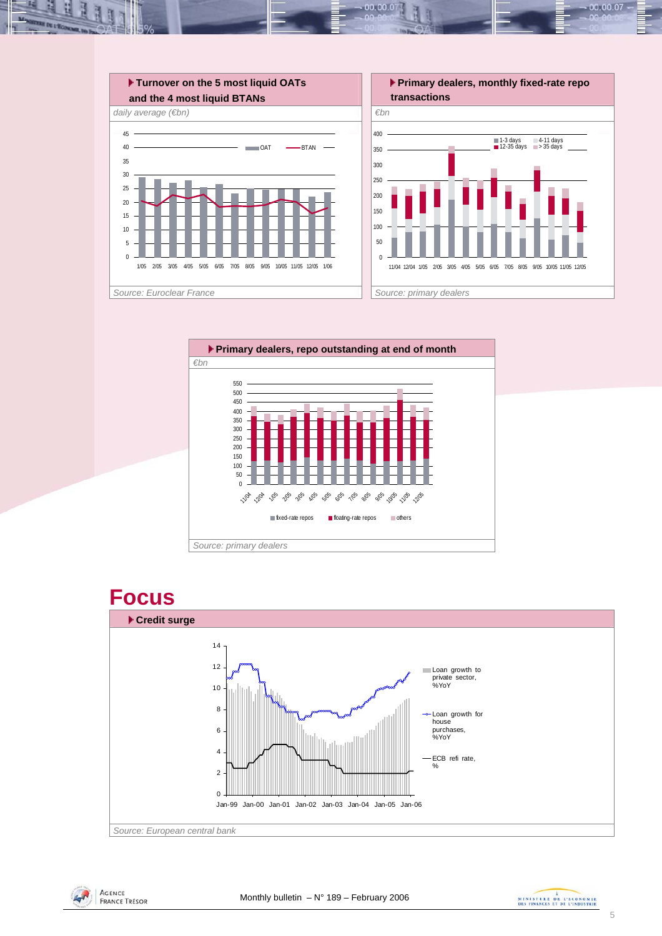

00.00.C







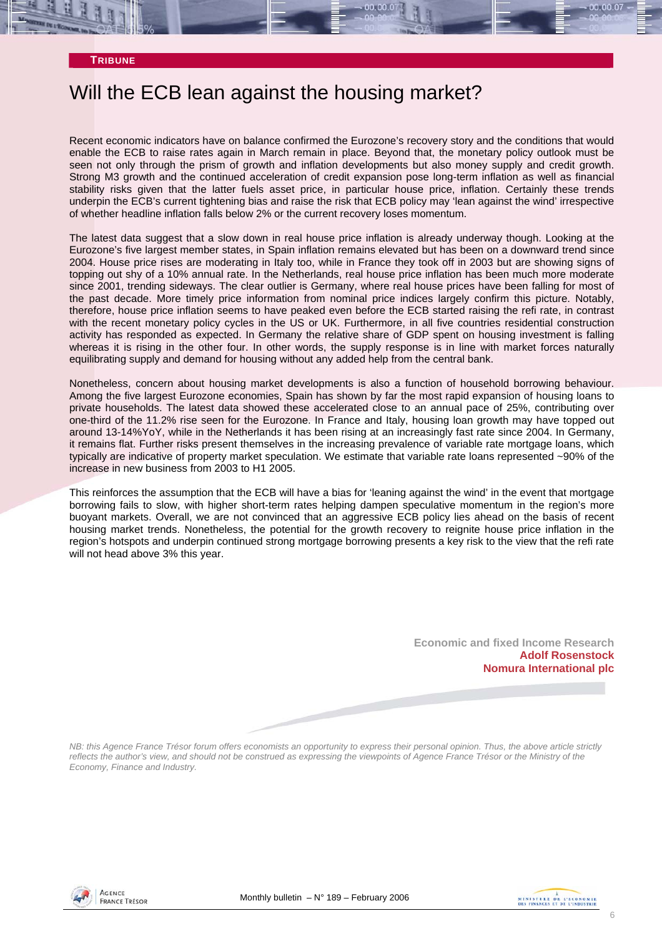## Will the ECB lean against the housing market?

Recent economic indicators have on balance confirmed the Eurozone's recovery story and the conditions that would enable the ECB to raise rates again in March remain in place. Beyond that, the monetary policy outlook must be seen not only through the prism of growth and inflation developments but also money supply and credit growth. Strong M3 growth and the continued acceleration of credit expansion pose long-term inflation as well as financial stability risks given that the latter fuels asset price, in particular house price, inflation. Certainly these trends underpin the ECB's current tightening bias and raise the risk that ECB policy may 'lean against the wind' irrespective of whether headline inflation falls below 2% or the current recovery loses momentum.

The latest data suggest that a slow down in real house price inflation is already underway though. Looking at the Eurozone's five largest member states, in Spain inflation remains elevated but has been on a downward trend since 2004. House price rises are moderating in Italy too, while in France they took off in 2003 but are showing signs of topping out shy of a 10% annual rate. In the Netherlands, real house price inflation has been much more moderate since 2001, trending sideways. The clear outlier is Germany, where real house prices have been falling for most of the past decade. More timely price information from nominal price indices largely confirm this picture. Notably, therefore, house price inflation seems to have peaked even before the ECB started raising the refi rate, in contrast with the recent monetary policy cycles in the US or UK. Furthermore, in all five countries residential construction activity has responded as expected. In Germany the relative share of GDP spent on housing investment is falling whereas it is rising in the other four. In other words, the supply response is in line with market forces naturally equilibrating supply and demand for housing without any added help from the central bank.

Nonetheless, concern about housing market developments is also a function of household borrowing behaviour. Among the five largest Eurozone economies, Spain has shown by far the most rapid expansion of housing loans to private households. The latest data showed these accelerated close to an annual pace of 25%, contributing over one-third of the 11.2% rise seen for the Eurozone. In France and Italy, housing loan growth may have topped out around 13-14%YoY, while in the Netherlands it has been rising at an increasingly fast rate since 2004. In Germany, it remains flat. Further risks present themselves in the increasing prevalence of variable rate mortgage loans, which typically are indicative of property market speculation. We estimate that variable rate loans represented ~90% of the increase in new business from 2003 to H1 2005.

This reinforces the assumption that the ECB will have a bias for 'leaning against the wind' in the event that mortgage borrowing fails to slow, with higher short-term rates helping dampen speculative momentum in the region's more buoyant markets. Overall, we are not convinced that an aggressive ECB policy lies ahead on the basis of recent housing market trends. Nonetheless, the potential for the growth recovery to reignite house price inflation in the region's hotspots and underpin continued strong mortgage borrowing presents a key risk to the view that the refi rate will not head above 3% this year.

> **Economic and fixed Income Research Adolf Rosenstock Nomura International plc**

*NB: this Agence France Trésor forum offers economists an opportunity to express their personal opinion. Thus, the above article strictly* reflects the author's view, and should not be construed as expressing the viewpoints of Agence France Trésor or the Ministry of the *Economy, Finance and Industry.* 



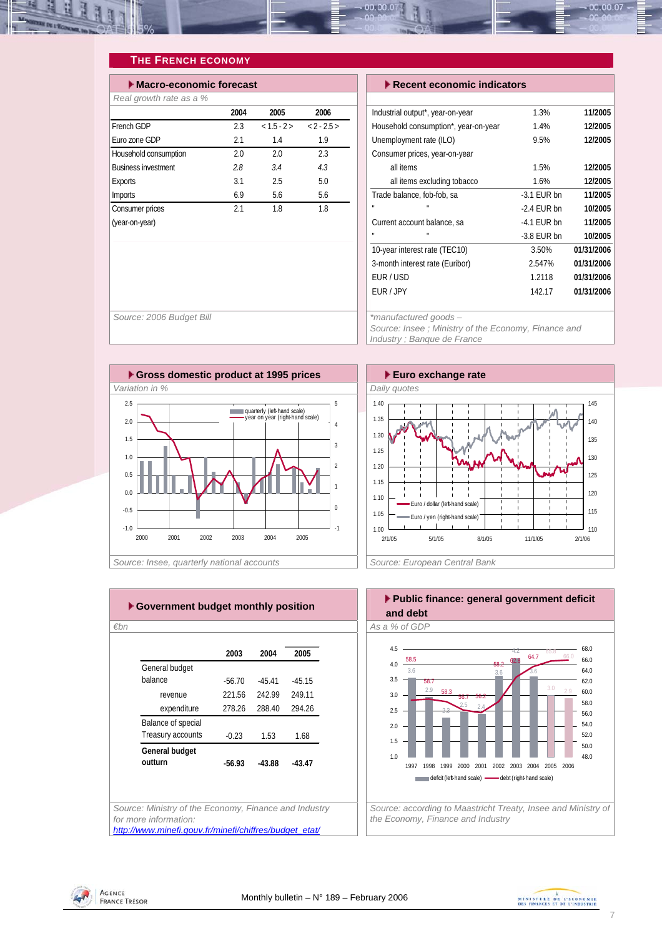<span id="page-6-0"></span>

### **THE FRENCH ECONOMY**

| $\blacktriangleright$ Recent economic indicators |               |            |  |  |  |  |  |  |
|--------------------------------------------------|---------------|------------|--|--|--|--|--|--|
|                                                  |               |            |  |  |  |  |  |  |
| Industrial output*, year-on-year                 | 1.3%          | 11/2005    |  |  |  |  |  |  |
| Household consumption*, year-on-year             | 1.4%          | 12/2005    |  |  |  |  |  |  |
| Unemployment rate (ILO)                          | 9.5%          | 12/2005    |  |  |  |  |  |  |
| Consumer prices, year-on-year                    |               |            |  |  |  |  |  |  |
| all items                                        | 1.5%          | 12/2005    |  |  |  |  |  |  |
| all items excluding tobacco                      | 1.6%          | 12/2005    |  |  |  |  |  |  |
| Trade balance, fob-fob, sa                       | $-3.1$ EUR bn | 11/2005    |  |  |  |  |  |  |
|                                                  | $-2.4$ EUR bn | 10/2005    |  |  |  |  |  |  |
| Current account balance, sa                      | $-4.1$ EUR bn | 11/2005    |  |  |  |  |  |  |
|                                                  | $-3.8$ EUR bn | 10/2005    |  |  |  |  |  |  |
| 10-year interest rate (TEC10)                    | 3.50%         | 01/31/2006 |  |  |  |  |  |  |
| 3-month interest rate (Euribor)                  | 2.547%        | 01/31/2006 |  |  |  |  |  |  |
| EUR/USD                                          | 1.2118        | 01/31/2006 |  |  |  |  |  |  |
| EUR / JPY                                        | 142.17        | 01/31/2006 |  |  |  |  |  |  |
|                                                  |               |            |  |  |  |  |  |  |

*Source: 2006 Budget Bill \*manufactured goods – Source: Insee ; Ministry of the Economy, Finance and Industry ; Banque de France* 





*€bn As a % of GDP Source: Ministry of the Economy, Finance and Industry for more information:*  **2003 2004 2005** General budget balance -56.70 -45.41 -45.15 revenue 221.56 242.99 249.11 expenditure 278.26 288.40 294.26 Balance of special Treasury accounts -0.23 1.53 1.68 **General budget outturn -56.93 -43.88 -43.47**

*[http://www.minefi.gouv.fr/minefi/chiffres/budget\\_etat/](http://www.minefi.gouv.fr/minefi/chiffres/budget_etat/)*





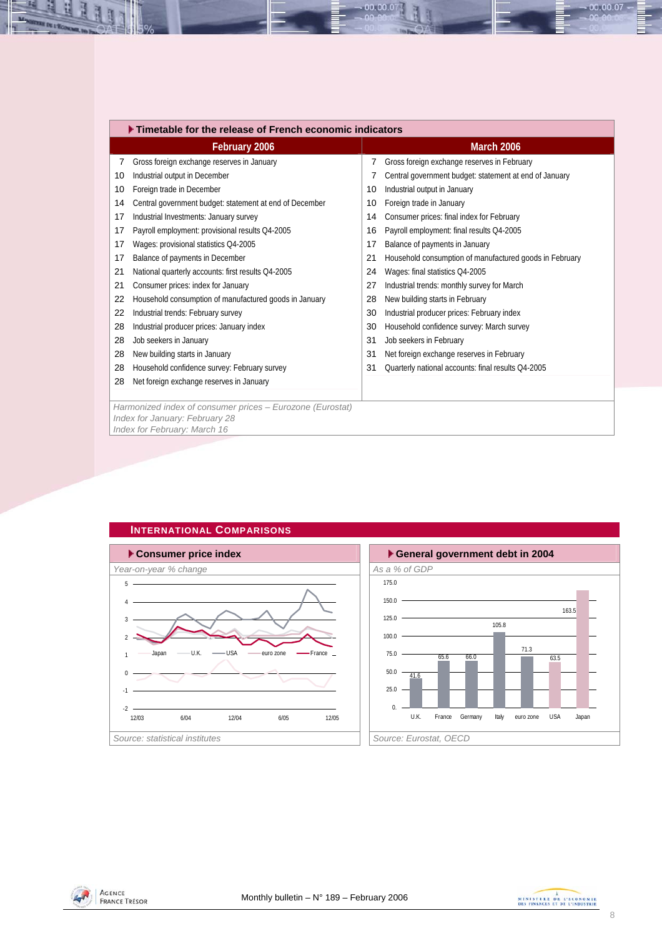<span id="page-7-0"></span>

|    | Timetable for the release of French economic indicators   |    |                                                         |  |  |  |  |  |  |  |
|----|-----------------------------------------------------------|----|---------------------------------------------------------|--|--|--|--|--|--|--|
|    | February 2006                                             |    | <b>March 2006</b>                                       |  |  |  |  |  |  |  |
| 7  | Gross foreign exchange reserves in January                | 7  | Gross foreign exchange reserves in February             |  |  |  |  |  |  |  |
| 10 | Industrial output in December                             | 7  | Central government budget: statement at end of January  |  |  |  |  |  |  |  |
| 10 | Foreign trade in December                                 | 10 | Industrial output in January                            |  |  |  |  |  |  |  |
| 14 | Central government budget: statement at end of December   | 10 | Foreign trade in January                                |  |  |  |  |  |  |  |
| 17 | Industrial Investments: January survey                    | 14 | Consumer prices: final index for February               |  |  |  |  |  |  |  |
| 17 | Payroll employment: provisional results Q4-2005           | 16 | Payroll employment: final results Q4-2005               |  |  |  |  |  |  |  |
| 17 | Wages: provisional statistics Q4-2005                     | 17 | Balance of payments in January                          |  |  |  |  |  |  |  |
| 17 | Balance of payments in December                           | 21 | Household consumption of manufactured goods in February |  |  |  |  |  |  |  |
| 21 | National quarterly accounts: first results Q4-2005        | 24 | Wages: final statistics Q4-2005                         |  |  |  |  |  |  |  |
| 21 | Consumer prices: index for January                        | 27 | Industrial trends: monthly survey for March             |  |  |  |  |  |  |  |
| 22 | Household consumption of manufactured goods in January    | 28 | New building starts in February                         |  |  |  |  |  |  |  |
| 22 | Industrial trends: February survey                        | 30 | Industrial producer prices: February index              |  |  |  |  |  |  |  |
| 28 | Industrial producer prices: January index                 | 30 | Household confidence survey: March survey               |  |  |  |  |  |  |  |
| 28 | Job seekers in January                                    | 31 | Job seekers in February                                 |  |  |  |  |  |  |  |
| 28 | New building starts in January                            | 31 | Net foreign exchange reserves in February               |  |  |  |  |  |  |  |
| 28 | Household confidence survey: February survey              | 31 | Quarterly national accounts: final results Q4-2005      |  |  |  |  |  |  |  |
| 28 | Net foreign exchange reserves in January                  |    |                                                         |  |  |  |  |  |  |  |
|    |                                                           |    |                                                         |  |  |  |  |  |  |  |
|    | Harmonized index of consumer prices - Eurozone (Eurostat) |    |                                                         |  |  |  |  |  |  |  |
|    | Index for January: February 28                            |    |                                                         |  |  |  |  |  |  |  |

 $00.00.0$ 

*Index for February: March 16*





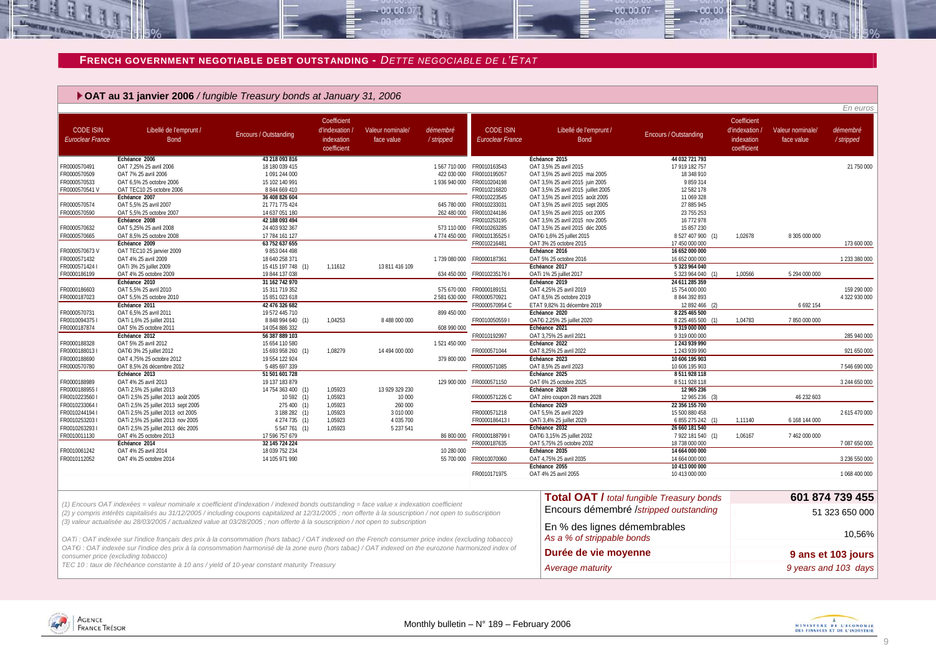#### **FRENCH GOVERNMENT NEGOTIABLE DEBT OUTSTANDING -** *DETTE NEGOCIABLE DE L'ETAT*

 $00,00,0$ 

#### **OAT au 31 janvier 2006** */ fungible Treasury bonds at January 31, 2006*

|                                             |                                                                                                                                                                                                                                                                                                              |                                  |                                                          |                                |                       |                                          |                                                                    |                                                  |                                                            |                                | En euros               |
|---------------------------------------------|--------------------------------------------------------------------------------------------------------------------------------------------------------------------------------------------------------------------------------------------------------------------------------------------------------------|----------------------------------|----------------------------------------------------------|--------------------------------|-----------------------|------------------------------------------|--------------------------------------------------------------------|--------------------------------------------------|------------------------------------------------------------|--------------------------------|------------------------|
| <b>CODE ISIN</b><br><b>Euroclear France</b> | Libellé de l'emprunt /<br><b>Bond</b>                                                                                                                                                                                                                                                                        | Encours / Outstanding            | Coefficient<br>d'indexation<br>indexation<br>coefficient | Valeur nominale/<br>face value | démembré<br>/stripped | <b>CODE ISIN</b><br>Euroclear France     | Libellé de l'emprunt /<br><b>Bond</b>                              | Encours / Outstanding                            | Coefficient<br>d'indexation /<br>indexation<br>coefficient | Valeur nominale/<br>face value | démembré<br>/ stripped |
|                                             | Echéance 2006                                                                                                                                                                                                                                                                                                | 43 218 093 816                   |                                                          |                                |                       |                                          | Echéance 2015                                                      | 44 032 721 793                                   |                                                            |                                |                        |
| FR0000570491                                | OAT 7,25% 25 avril 2006                                                                                                                                                                                                                                                                                      | 18 180 039 415                   |                                                          |                                |                       | 1567 710 000 FR0010163543                | OAT 3,5% 25 avril 2015                                             | 17 919 182 757                                   |                                                            |                                | 21 750 000             |
| FR0000570509                                | OAT 7% 25 avril 2006                                                                                                                                                                                                                                                                                         | 1 091 244 000                    |                                                          |                                |                       | 422 030 000 FR0010195057                 | OAT 3.5% 25 avril 2015 mai 2005                                    | 18 348 910                                       |                                                            |                                |                        |
| FR0000570533                                | OAT 6,5% 25 octobre 2006                                                                                                                                                                                                                                                                                     | 15 102 140 991                   |                                                          |                                |                       | 1 936 940 000 FR0010204198               | OAT 3,5% 25 avril 2015 juin 2005                                   | 9 859 314                                        |                                                            |                                |                        |
| FR0000570541V                               | OAT TEC10 25 octobre 2006                                                                                                                                                                                                                                                                                    | 8 844 669 410                    |                                                          |                                |                       | FR0010216820                             | OAT 3,5% 25 avril 2015 juillet 2005                                | 12 582 178                                       |                                                            |                                |                        |
|                                             | Échéance 2007                                                                                                                                                                                                                                                                                                | 36 408 826 604                   |                                                          |                                |                       | FR0010223545                             | OAT 3,5% 25 avril 2015 août 2005                                   | 11 069 328                                       |                                                            |                                |                        |
| FR0000570574<br>FR0000570590                | OAT 5,5% 25 avril 2007<br>OAT 5.5% 25 octobre 2007                                                                                                                                                                                                                                                           | 21 771 775 424<br>14 637 051 180 |                                                          |                                | 262 480 000           | 645 780 000 FR0010233031<br>FR0010244186 | OAT 3,5% 25 avril 2015 sept 2005                                   | 27 885 945                                       |                                                            |                                |                        |
|                                             | Échéance 2008                                                                                                                                                                                                                                                                                                | 42 188 093 494                   |                                                          |                                |                       | FR0010253195                             | OAT 3,5% 25 avril 2015 oct 2005                                    | 23 755 253<br>16 772 978                         |                                                            |                                |                        |
| FR0000570632                                | OAT 5,25% 25 avril 2008                                                                                                                                                                                                                                                                                      | 24 403 932 367                   |                                                          |                                |                       | 573 110 000 FR0010263285                 | OAT 3,5% 25 avril 2015 nov 2005<br>OAT 3,5% 25 avril 2015 déc 2005 | 15 857 230                                       |                                                            |                                |                        |
| FR0000570665                                | OAT 8.5% 25 octobre 2008                                                                                                                                                                                                                                                                                     | 17 784 161 127                   |                                                          |                                | 4 774 450 000         | FR00101355251                            | OATEi 1,6% 25 juillet 2015                                         | 8 527 407 900 (1)                                | 1.02678                                                    | 8 305 000 000                  |                        |
|                                             | Échéance 2009                                                                                                                                                                                                                                                                                                | 63 752 637 655                   |                                                          |                                |                       | FR0010216481                             | OAT 3% 25 octobre 2015                                             | 17 450 000 000                                   |                                                            |                                | 173 600 000            |
| FR0000570673V                               | OAT TEC10 25 janvier 2009                                                                                                                                                                                                                                                                                    | 9 853 044 498                    |                                                          |                                |                       |                                          | Échéance 2016                                                      | 16 652 000 000                                   |                                                            |                                |                        |
| FR0000571432                                | OAT 4% 25 avril 2009                                                                                                                                                                                                                                                                                         | 18 640 258 371                   |                                                          |                                |                       | 1 739 080 000 FR0000187361               | OAT 5% 25 octobre 2016                                             | 16 652 000 000                                   |                                                            |                                | 1 233 380 000          |
| FR00005714241                               | OATi 3% 25 juillet 2009                                                                                                                                                                                                                                                                                      | 15 415 197 748 (1)               | 1,11612                                                  | 13 811 416 109                 |                       |                                          | Échéance 2017                                                      | 5 323 964 040                                    |                                                            |                                |                        |
| FR0000186199                                | OAT 4% 25 octobre 2009                                                                                                                                                                                                                                                                                       | 19 844 137 038                   |                                                          |                                |                       | 634 450 000 FR0010235176 I               | OATi 1% 25 juillet 2017                                            | 5 323 964 040<br>(1)                             | 1.00566                                                    | 5 294 000 000                  |                        |
|                                             | Échéance 2010                                                                                                                                                                                                                                                                                                | 31 162 742 970                   |                                                          |                                |                       |                                          | Échéance 2019                                                      | 24 611 285 359                                   |                                                            |                                |                        |
| FR0000186603                                | OAT 5,5% 25 avril 2010                                                                                                                                                                                                                                                                                       | 15 311 719 352                   |                                                          |                                |                       | 575 670 000 FR0000189151                 | OAT 4,25% 25 avril 2019                                            | 15 754 000 000                                   |                                                            |                                | 159 290 000            |
| FR0000187023                                | OAT 5,5% 25 octobre 2010                                                                                                                                                                                                                                                                                     | 15 851 023 618                   |                                                          |                                | 2 581 630 000         | FR0000570921                             | OAT 8,5% 25 octobre 2019                                           | 8 844 392 893                                    |                                                            |                                | 4 322 930 000          |
|                                             | Échéance 2011                                                                                                                                                                                                                                                                                                | 42 476 326 682                   |                                                          |                                |                       | FR0000570954 C                           | ETAT 9,82% 31 décembre 2019                                        | 12 892 466 (2)                                   |                                                            | 6 6 9 2 1 5 4                  |                        |
| FR0000570731                                | OAT 6,5% 25 avril 2011                                                                                                                                                                                                                                                                                       | 19 572 445 710                   |                                                          |                                | 899 450 000           |                                          | Échéance 2020                                                      | 8 225 465 500                                    |                                                            |                                |                        |
| FR00100943751                               | OATi 1,6% 25 juillet 2011                                                                                                                                                                                                                                                                                    | 8 848 994 640 (1)                | 1,04253                                                  | 8 488 000 000                  |                       | FR00100505591                            | OAT€i 2,25% 25 juillet 2020                                        | 8 225 465 500                                    | 1,04783                                                    | 7850000000                     |                        |
| FR0000187874                                | OAT 5% 25 octobre 2011                                                                                                                                                                                                                                                                                       | 14 054 886 332                   |                                                          |                                | 608 990 000           |                                          | Échéance 2021                                                      | 9 319 000 000                                    |                                                            |                                |                        |
|                                             | Échéance 2012                                                                                                                                                                                                                                                                                                | 56 387 889 103                   |                                                          |                                |                       | FR0010192997                             | OAT 3,75% 25 avril 2021                                            | 9 319 000 000                                    |                                                            |                                | 285 940 000            |
| FR0000188328                                | OAT 5% 25 avril 2012                                                                                                                                                                                                                                                                                         | 15 654 110 580                   |                                                          |                                | 1521450000            |                                          | Échéance 2022                                                      | 1 243 939 990                                    |                                                            |                                |                        |
| FR00001880131                               | OAT€i 3% 25 juillet 2012                                                                                                                                                                                                                                                                                     | 15 693 958 260 (1)               | 1.08279                                                  | 14 494 000 000                 |                       | FR0000571044                             | OAT 8,25% 25 avril 2022                                            | 1 243 939 990                                    |                                                            |                                | 921 650 000            |
| FR0000188690<br>FR0000570780                | OAT 4,75% 25 octobre 2012                                                                                                                                                                                                                                                                                    | 19 554 122 924<br>5 485 697 339  |                                                          |                                | 379 800 000           | FR0000571085                             | Échéance 2023<br>OAT 8,5% 25 avril 2023                            | 10 606 195 903<br>10 606 195 903                 |                                                            |                                | 7 546 690 000          |
|                                             | OAT 8,5% 26 décembre 2012<br>Échéance 2013                                                                                                                                                                                                                                                                   | 51 501 601 728                   |                                                          |                                |                       |                                          | Échéance 2025                                                      | 8 511 928 118                                    |                                                            |                                |                        |
| FR0000188989                                | OAT 4% 25 avril 2013                                                                                                                                                                                                                                                                                         | 19 137 183 879                   |                                                          |                                |                       | 129 900 000 FR0000571150                 | OAT 6% 25 octobre 2025                                             | 8 511 928 118                                    |                                                            |                                | 3 244 650 000          |
| FR00001889551                               | OATi 2,5% 25 juillet 2013                                                                                                                                                                                                                                                                                    | 14 754 363 400 (1)               | 1,05923                                                  | 13 929 329 230                 |                       |                                          | Échéance 2028                                                      | 12 965 236                                       |                                                            |                                |                        |
| FR00102235601                               | OATi 2,5% 25 juillet 2013 août 2005                                                                                                                                                                                                                                                                          | 10 592 (1)                       | 1,05923                                                  | 10 000                         |                       | FR0000571226 C                           | OAT zéro coupon 28 mars 2028                                       | 12 965 236 (3)                                   |                                                            | 46 232 603                     |                        |
| FR00102330641                               | OATi 2,5% 25 juillet 2013 sept 2005                                                                                                                                                                                                                                                                          | 275 400 (1)                      | 1,05923                                                  | 260 000                        |                       |                                          | Échéance 2029                                                      | 22 356 155 700                                   |                                                            |                                |                        |
| FR00102441941                               | OATi 2,5% 25 juillet 2013 oct 2005                                                                                                                                                                                                                                                                           | 3 188 282 (1)                    | 1,05923                                                  | 3 010 000                      |                       | FR0000571218                             | OAT 5,5% 25 avril 2029                                             | 15 500 880 458                                   |                                                            |                                | 2615470000             |
| FR00102532031                               | OATi 2,5% 25 juillet 2013 nov 2005                                                                                                                                                                                                                                                                           | 4 274 735 (1)                    | 1,05923                                                  | 4 035 700                      |                       | FR0000186413 I                           | OATi 3,4% 25 juillet 2029                                          | 6 855 275 242 (1)                                | 1,11140                                                    | 6 168 144 000                  |                        |
| FR00102632931                               | OATi 2,5% 25 juillet 2013 déc 2005                                                                                                                                                                                                                                                                           | 5 547 761 (1)                    | 1,05923                                                  | 5 237 541                      |                       |                                          | Échéance 2032                                                      | 26 660 181 540                                   |                                                            |                                |                        |
| FR0010011130                                | OAT 4% 25 octobre 2013                                                                                                                                                                                                                                                                                       | 17 596 757 679                   |                                                          |                                |                       | 86 800 000 FR0000188799 I                | OATEi 3,15% 25 juillet 2032                                        | 7 922 181 540 (1)                                | 1,06167                                                    | 7 462 000 000                  |                        |
|                                             | Échéance 2014                                                                                                                                                                                                                                                                                                | 32 145 724 224                   |                                                          |                                |                       | FR0000187635                             | OAT 5,75% 25 octobre 2032                                          | 18 738 000 000                                   |                                                            |                                | 7 087 650 000          |
| FR0010061242                                | OAT 4% 25 avril 2014                                                                                                                                                                                                                                                                                         | 18 039 752 234                   |                                                          |                                | 10 280 000            |                                          | Échéance 2035                                                      | 14 664 000 000                                   |                                                            |                                |                        |
| FR0010112052                                | OAT 4% 25 octobre 2014                                                                                                                                                                                                                                                                                       | 14 105 971 990                   |                                                          |                                |                       | 55 700 000 FR0010070060                  | OAT 4,75% 25 avril 2035                                            | 14 664 000 000                                   |                                                            |                                | 3 236 550 000          |
|                                             |                                                                                                                                                                                                                                                                                                              |                                  |                                                          |                                |                       |                                          | Échéance 2055                                                      | 10 413 000 000                                   |                                                            |                                |                        |
|                                             |                                                                                                                                                                                                                                                                                                              |                                  |                                                          |                                |                       | FR0010171975                             | OAT 4% 25 avril 2055                                               | 10 413 000 000                                   |                                                            |                                | 1 068 400 000          |
|                                             |                                                                                                                                                                                                                                                                                                              |                                  |                                                          |                                |                       |                                          |                                                                    | <b>Total OAT / total fungible Treasury bonds</b> |                                                            |                                | 601 874 739 455        |
|                                             | (1) Encours OAT indexées = valeur nominale x coefficient d'indexation / indexed bonds outstanding = face value x indexation coefficient<br>(2) y compris intérêts capitalisés au 31/12/2005 / including coupons capitalized at 12/31/2005 ; non offerte à la souscription / not open to subscription         |                                  |                                                          |                                |                       |                                          |                                                                    | Encours démembré /stripped outstanding           |                                                            |                                | 51 323 650 000         |
|                                             | (3) valeur actualisée au 28/03/2005 / actualized value at 03/28/2005 ; non offerte à la souscription / not open to subscription                                                                                                                                                                              |                                  |                                                          |                                |                       |                                          | En % des lignes démembrables                                       |                                                  |                                                            |                                |                        |
|                                             |                                                                                                                                                                                                                                                                                                              |                                  |                                                          |                                |                       |                                          | As a % of strippable bonds                                         |                                                  |                                                            |                                | 10,56%                 |
|                                             | OATi: OAT indexée sur l'indice français des prix à la consommation (hors tabac) / OAT indexed on the French consumer price index (excluding tobacco)<br>OAT€i : OAT indexée sur l'indice des prix à la consommation harmonisé de la zone euro (hors tabac) / OAT indexed on the eurozone harmonized index of |                                  |                                                          |                                |                       |                                          |                                                                    |                                                  |                                                            |                                |                        |
|                                             | consumer price (excluding tobacco)                                                                                                                                                                                                                                                                           |                                  |                                                          |                                |                       |                                          | Durée de vie moyenne                                               |                                                  |                                                            |                                | 9 ans et 103 jours     |

*OAT€i : OAT indexée sur l'indice des prix à la consommation harmonisé de la zone euro (hors tabac) / OAT indexed on the eurozone harmonized index of consumer price (excluding tobacco) TEC 10 : taux de l'échéance constante à 10*



00.00.07

*a Average maturity <i>a a a s a s a g years and 103 days 9 years and 103 days* 

<span id="page-8-0"></span>